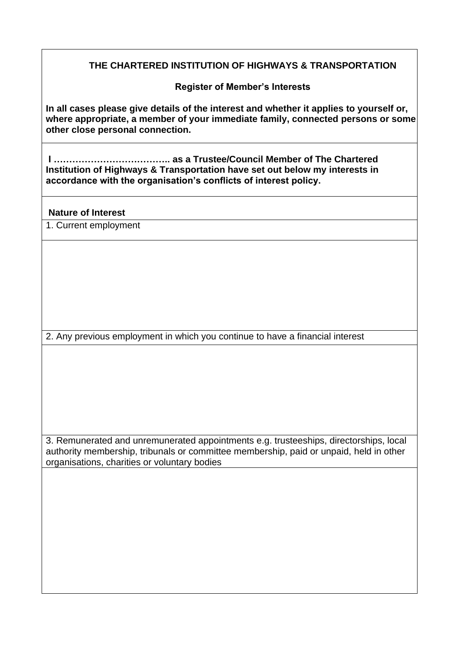## **THE CHARTERED INSTITUTION OF HIGHWAYS & TRANSPORTATION**

**Register of Member's Interests**

**In all cases please give details of the interest and whether it applies to yourself or, where appropriate, a member of your immediate family, connected persons or some other close personal connection.**

**I ……………………………….. as a Trustee/Council Member of The Chartered Institution of Highways & Transportation have set out below my interests in accordance with the organisation's conflicts of interest policy.**

**Nature of Interest**

1. Current employment

2. Any previous employment in which you continue to have a financial interest

3. Remunerated and unremunerated appointments e.g. trusteeships, directorships, local authority membership, tribunals or committee membership, paid or unpaid, held in other organisations, charities or voluntary bodies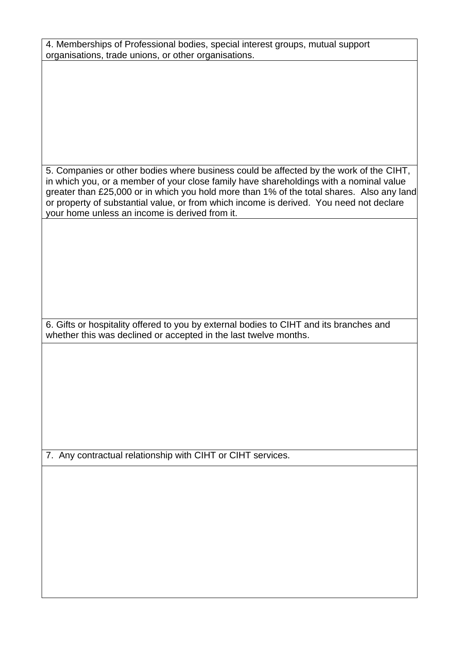| 4. Memberships of Professional bodies, special interest groups, mutual support |  |
|--------------------------------------------------------------------------------|--|
| organisations, trade unions, or other organisations.                           |  |

5. Companies or other bodies where business could be affected by the work of the CIHT, in which you, or a member of your close family have shareholdings with a nominal value greater than £25,000 or in which you hold more than 1% of the total shares. Also any land or property of substantial value, or from which income is derived. You need not declare your home unless an income is derived from it.

6. Gifts or hospitality offered to you by external bodies to CIHT and its branches and whether this was declined or accepted in the last twelve months.

7. Any contractual relationship with CIHT or CIHT services.